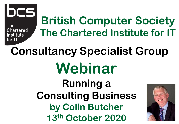

The **Chartered** Institute for IT

# **British Computer Society The Chartered Institute for IT**

# **Consultancy Specialist Group Webinar**

**Running a Consulting Business by Colin Butcher 13th October 2020**

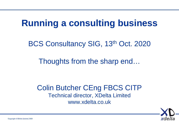## **Running a consulting business**

BCS Consultancy SIG, 13<sup>th</sup> Oct. 2020

Thoughts from the sharp end…

Colin Butcher CEng FBCS CITP Technical director, XDelta Limited www.xdelta.co.uk

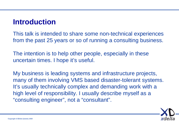#### **Introduction**

This talk is intended to share some non-technical experiences from the past 25 years or so of running a consulting business.

The intention is to help other people, especially in these uncertain times. I hope it's useful.

My business is leading systems and infrastructure projects, many of them involving VMS based disaster-tolerant systems. It's usually technically complex and demanding work with a high level of responsibility. I usually describe myself as a "consulting engineer", not a "consultant".

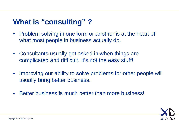#### **What is "consulting" ?**

- Problem solving in one form or another is at the heart of what most people in business actually do.
- Consultants usually get asked in when things are complicated and difficult. It's not the easy stuff!
- Improving our ability to solve problems for other people will usually bring better business.
- Better business is much better than more business!

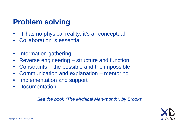#### **Problem solving**

- IT has no physical reality, it's all conceptual
- Collaboration is essential
- Information gathering
- Reverse engineering structure and function
- Constraints the possible and the impossible
- Communication and explanation mentoring
- Implementation and support
- **Documentation**

*See the book "The Mythical Man-month", by Brooks*

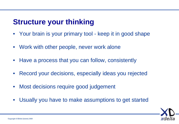#### **Structure your thinking**

- Your brain is your primary tool keep it in good shape
- Work with other people, never work alone
- Have a process that you can follow, consistently
- Record your decisions, especially ideas you rejected
- Most decisions require good judgement
- Usually you have to make assumptions to get started

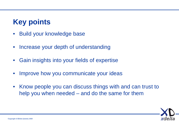#### **Key points**

- Build your knowledge base
- Increase your depth of understanding
- Gain insights into your fields of expertise
- Improve how you communicate your ideas
- Know people you can discuss things with and can trust to help you when needed – and do the same for them

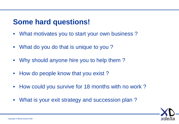#### **Some hard questions!**

- What motivates you to start your own business?
- What do you do that is unique to you?
- Why should anyone hire you to help them?
- How do people know that you exist?
- How could you survive for 18 months with no work?
- What is your exit strategy and succession plan ?

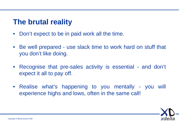#### **The brutal reality**

- Don't expect to be in paid work all the time.
- Be well prepared use slack time to work hard on stuff that you don't like doing.
- Recognise that pre-sales activity is essential and don't expect it all to pay off.
- Realise what's happening to you mentally you will experience highs and lows, often in the same call!

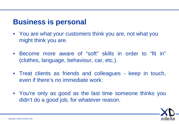#### **Business is personal**

- You are what your customers think you are, not what you might think you are.
- Become more aware of "soft" skills in order to "fit in" (clothes, language, behaviour, car, etc.).
- Treat clients as friends and colleagues keep in touch, even if there's no immediate work.
- You're only as good as the last time someone thinks you didn't do a good job, for whatever reason.

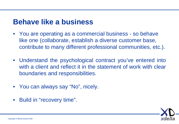#### **Behave like a business**

- You are operating as a commercial business so behave like one (collaborate, establish a diverse customer base, contribute to many different professional communities, etc.).
- Understand the psychological contract you've entered into with a client and reflect it in the statement of work with clear boundaries and responsibilities.
- You can always say "No", nicely.
- Build in "recovery time".

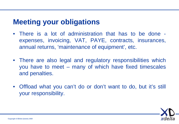#### **Meeting your obligations**

- There is a lot of administration that has to be done expenses, invoicing, VAT, PAYE, contracts, insurances, annual returns, 'maintenance of equipment', etc.
- There are also legal and regulatory responsibilities which you have to meet – many of which have fixed timescales and penalties.
- Offload what you can't do or don't want to do, but it's still your responsibility.

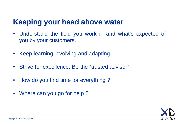#### **Keeping your head above water**

- Understand the field you work in and what's expected of you by your customers.
- Keep learning, evolving and adapting.
- Strive for excellence. Be the "trusted advisor".
- How do you find time for everything?
- Where can you go for help?

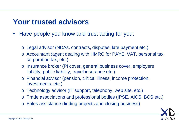#### **Your trusted advisors**

- Have people you know and trust acting for you:
	- o Legal advisor (NDAs, contracts, disputes, late payment etc.)
	- o Accountant (agent dealing with HMRC for PAYE, VAT, personal tax, corporation tax, etc.)
	- o Insurance broker (PI cover, general business cover, employers liability, public liability, travel insurance etc.)
	- o Financial advisor (pension, critical illness, income protection, investments, etc.)
	- o Technology advisor (IT support, telephony, web site, etc.)
	- o Trade associations and professional bodies (IPSE, AICS, BCS etc.)
	- o Sales assistance (finding projects and closing business)

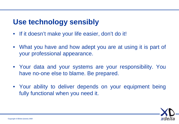#### **Use technology sensibly**

- If it doesn't make your life easier, don't do it!
- What you have and how adept you are at using it is part of your professional appearance.
- Your data and your systems are your responsibility. You have no-one else to blame. Be prepared.
- Your ability to deliver depends on your equipment being fully functional when you need it.

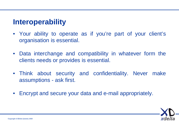#### **Interoperability**

- Your ability to operate as if you're part of your client's organisation is essential.
- Data interchange and compatibility in whatever form the clients needs or provides is essential.
- Think about security and confidentiality. Never make assumptions - ask first.
- Encrypt and secure your data and e-mail appropriately.

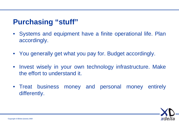#### **Purchasing "stuff"**

- Systems and equipment have a finite operational life. Plan accordingly.
- You generally get what you pay for. Budget accordingly.
- Invest wisely in your own technology infrastructure. Make the effort to understand it.
- Treat business money and personal money entirely differently.

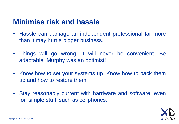#### **Minimise risk and hassle**

- Hassle can damage an independent professional far more than it may hurt a bigger business.
- Things will go wrong. It will never be convenient. Be adaptable. Murphy was an optimist!
- Know how to set your systems up. Know how to back them up and how to restore them.
- Stay reasonably current with hardware and software, even for 'simple stuff' such as cellphones.

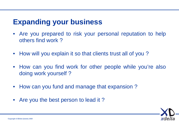#### **Expanding your business**

- Are you prepared to risk your personal reputation to help others find work ?
- How will you explain it so that clients trust all of you?
- How can you find work for other people while you're also doing work yourself ?
- How can you fund and manage that expansion?
- Are you the best person to lead it?

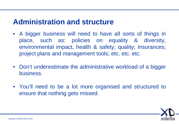#### **Administration and structure**

- A bigger business will need to have all sorts of things in place, such as: policies on equality & diversity, environmental impact, health & safety, quality; insurances; project plans and management tools; etc. etc. etc.
- Don't underestimate the administrative workload of a bigger business.
- You'll need to be a lot more organised and structured to ensure that nothing gets missed.

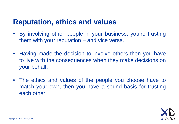#### **Reputation, ethics and values**

- By involving other people in your business, you're trusting them with your reputation – and vice versa.
- Having made the decision to involve others then you have to live with the consequences when they make decisions on your behalf.
- The ethics and values of the people you choose have to match your own, then you have a sound basis for trusting each other.

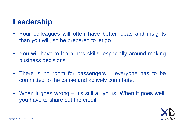#### **Leadership**

- Your colleagues will often have better ideas and insights than you will, so be prepared to let go.
- You will have to learn new skills, especially around making business decisions.
- There is no room for passengers everyone has to be committed to the cause and actively contribute.
- When it goes wrong it's still all yours. When it goes well, you have to share out the credit.

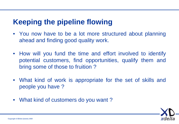#### **Keeping the pipeline flowing**

- You now have to be a lot more structured about planning ahead and finding good quality work.
- How will you fund the time and effort involved to identify potential customers, find opportunities, qualify them and bring some of those to fruition ?
- What kind of work is appropriate for the set of skills and people you have ?
- What kind of customers do you want?

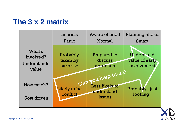#### **The 3 x 2 matrix**

|                                             | In crisis<br>Panic               | Aware of need<br>Normal                                | Planning ahead<br><b>Smart</b>              |
|---------------------------------------------|----------------------------------|--------------------------------------------------------|---------------------------------------------|
| What's<br>involved?<br>Understands<br>value | Probably<br>taken by<br>surprise | <b>Prepared to</b><br>discuss<br>approach<br>them.     | Understand<br>value of early<br>involvement |
| How much?<br>Cost driven                    | Likely to be<br>conflict         | Can you help<br>Less likely to<br>understand<br>issues | Probably "just<br>looking"                  |

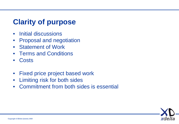#### **Clarity of purpose**

- Initial discussions
- Proposal and negotiation
- Statement of Work
- Terms and Conditions
- Costs
- Fixed price project based work
- Limiting risk for both sides
- Commitment from both sides is essential

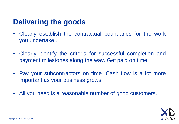#### **Delivering the goods**

- Clearly establish the contractual boundaries for the work you undertake .
- Clearly identify the criteria for successful completion and payment milestones along the way. Get paid on time!
- Pay your subcontractors on time. Cash flow is a lot more important as your business grows.
- All you need is a reasonable number of good customers.

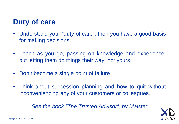#### **Duty of care**

- Understand your "duty of care", then you have a good basis for making decisions.
- Teach as you go, passing on knowledge and experience, but letting them do things their way, not yours.
- Don't become a single point of failure.
- Think about succession planning and how to quit without inconveniencing any of your customers or colleagues.

#### *See the book "The Trusted Advisor", by Maister*